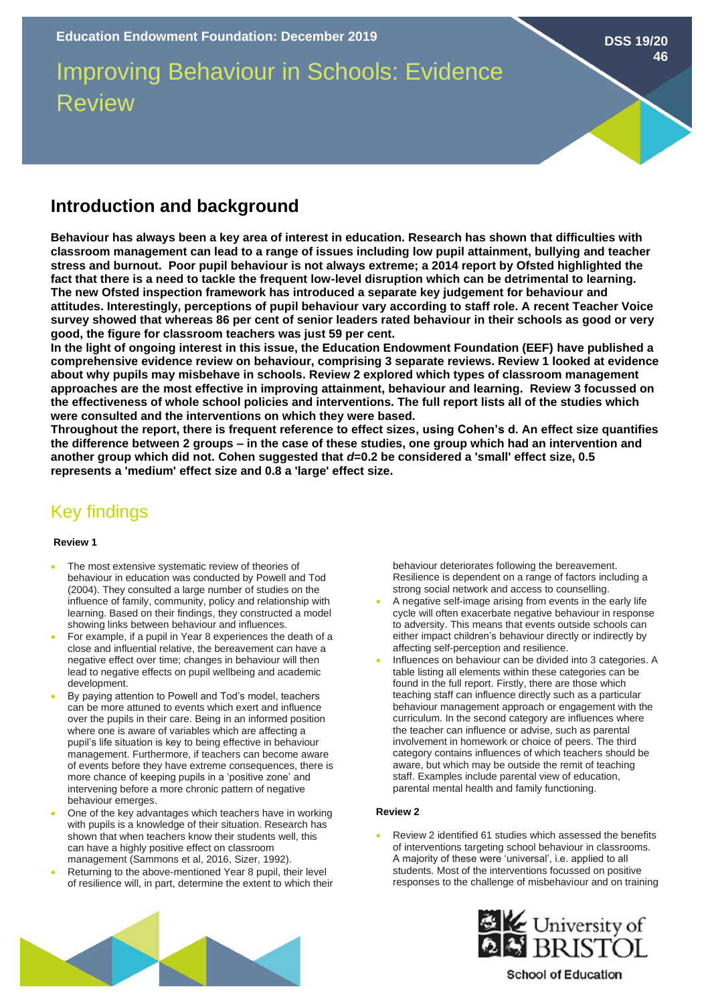# Improving Behaviour in Schools: Evidence Review

# **Introduction and background**

**Behaviour has always been a key area of interest in education. Research has shown that difficulties with classroom management can lead to a range of issues including low pupil attainment, bullying and teacher stress and burnout. Poor pupil behaviour is not always extreme; a 2014 report by Ofsted highlighted the fact that there is a need to tackle the frequent low-level disruption which can be detrimental to learning. The new Ofsted inspection framework has introduced a separate key judgement for behaviour and attitudes. Interestingly, perceptions of pupil behaviour vary according to staff role. A recent Teacher Voice survey showed that whereas 86 per cent of senior leaders rated behaviour in their schools as good or very good, the figure for classroom teachers was just 59 per cent.** 

**In the light of ongoing interest in this issue, the Education Endowment Foundation (EEF) have published a comprehensive evidence review on behaviour, comprising 3 separate reviews. Review 1 looked at evidence about why pupils may misbehave in schools. Review 2 explored which types of classroom management approaches are the most effective in improving attainment, behaviour and learning. Review 3 focussed on the effectiveness of whole school policies and interventions. The full report lists all of the studies which were consulted and the interventions on which they were based.** 

**Throughout the report, there is frequent reference to effect sizes, using Cohen's d. An effect size quantifies the difference between 2 groups – in the case of these studies, one group which had an intervention and another group which did not. Cohen suggested that** *d***=0.2 be considered a 'small' effect size, 0.5 represents a 'medium' effect size and 0.8 a 'large' effect size.** 

# Key findings

#### **Review 1**

- The most extensive systematic review of theories of behaviour in education was conducted by Powell and Tod (2004). They consulted a large number of studies on the influence of family, community, policy and relationship with learning. Based on their findings, they constructed a model showing links between behaviour and influences.
- For example, if a pupil in Year 8 experiences the death of a close and influential relative, the bereavement can have a negative effect over time; changes in behaviour will then lead to negative effects on pupil wellbeing and academic development.
- By paying attention to Powell and Tod's model, teachers can be more attuned to events which exert and influence over the pupils in their care. Being in an informed position where one is aware of variables which are affecting a pupil's life situation is key to being effective in behaviour management. Furthermore, if teachers can become aware of events before they have extreme consequences, there is more chance of keeping pupils in a 'positive zone' and intervening before a more chronic pattern of negative behaviour emerges.
- One of the key advantages which teachers have in working with pupils is a knowledge of their situation. Research has shown that when teachers know their students well, this can have a highly positive effect on classroom management (Sammons et al, 2016, Sizer, 1992).
- Returning to the above-mentioned Year 8 pupil, their level of resilience will, in part, determine the extent to which their

behaviour deteriorates following the bereavement. Resilience is dependent on a range of factors including a strong social network and access to counselling.

- A negative self-image arising from events in the early life cycle will often exacerbate negative behaviour in response to adversity. This means that events outside schools can either impact children's behaviour directly or indirectly by affecting self-perception and resilience.
- Influences on behaviour can be divided into 3 categories. A table listing all elements within these categories can be found in the full report. Firstly, there are those which teaching staff can influence directly such as a particular behaviour management approach or engagement with the curriculum. In the second category are influences where the teacher can influence or advise, such as parental involvement in homework or choice of peers. The third category contains influences of which teachers should be aware, but which may be outside the remit of teaching staff. Examples include parental view of education, parental mental health and family functioning.

#### **Review 2**

• Review 2 identified 61 studies which assessed the benefits of interventions targeting school behaviour in classrooms. A majority of these were 'universal', i.e. applied to all students. Most of the interventions focussed on positive responses to the challenge of misbehaviour and on training





## **School of Education**

**DSS 19/20 46**